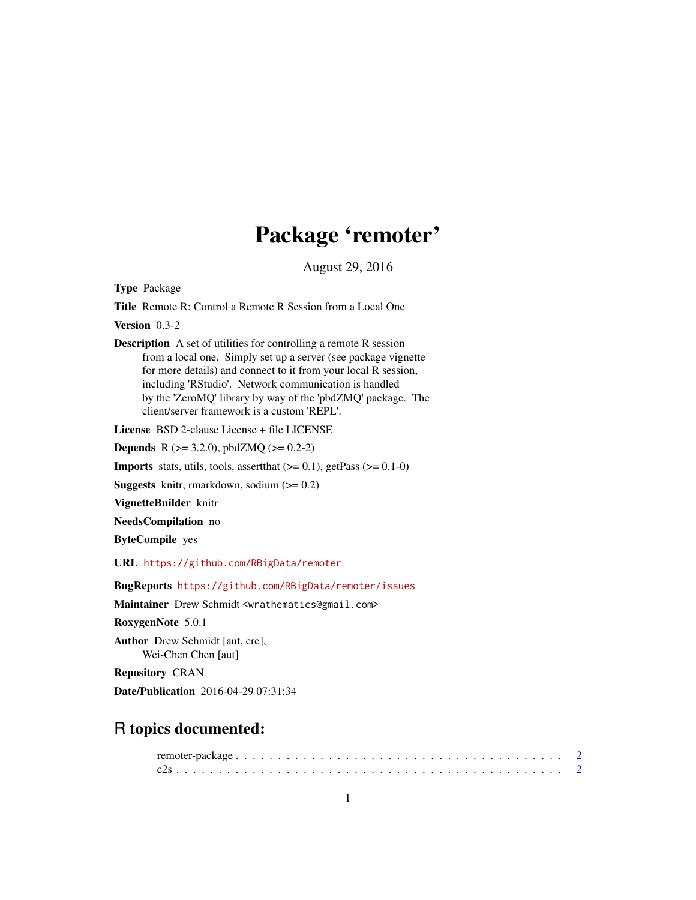## Package 'remoter'

August 29, 2016

Type Package

Title Remote R: Control a Remote R Session from a Local One

Version 0.3-2

Description A set of utilities for controlling a remote R session from a local one. Simply set up a server (see package vignette for more details) and connect to it from your local R session, including 'RStudio'. Network communication is handled by the 'ZeroMQ' library by way of the 'pbdZMQ' package. The client/server framework is a custom 'REPL'.

License BSD 2-clause License + file LICENSE

**Depends** R ( $>= 3.2.0$ ), pbdZMQ ( $>= 0.2-2$ )

**Imports** stats, utils, tools, assert that  $(>= 0.1)$ , get Pass  $(>= 0.1-0)$ 

**Suggests** knitr, rmarkdown, sodium  $(>= 0.2)$ 

VignetteBuilder knitr

NeedsCompilation no

ByteCompile yes

URL <https://github.com/RBigData/remoter>

BugReports <https://github.com/RBigData/remoter/issues>

Maintainer Drew Schmidt <wrathematics@gmail.com>

RoxygenNote 5.0.1

Author Drew Schmidt [aut, cre], Wei-Chen Chen [aut]

Repository CRAN

Date/Publication 2016-04-29 07:31:34

### R topics documented: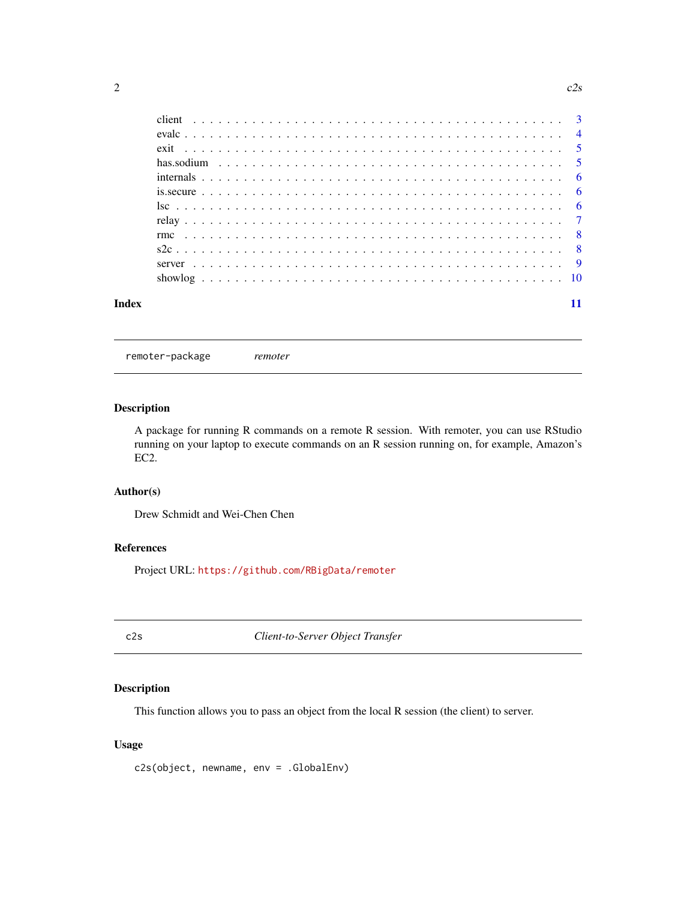<span id="page-1-0"></span>

| Index |  |  |  |  |  |  |  |  |  |  |  |  |  |  |  |  |  |  |  |
|-------|--|--|--|--|--|--|--|--|--|--|--|--|--|--|--|--|--|--|--|

#### remoter-package *remoter*

#### Description

A package for running R commands on a remote R session. With remoter, you can use RStudio running on your laptop to execute commands on an R session running on, for example, Amazon's EC2.

#### Author(s)

Drew Schmidt and Wei-Chen Chen

#### References

Project URL: <https://github.com/RBigData/remoter>

c2s *Client-to-Server Object Transfer*

#### Description

This function allows you to pass an object from the local R session (the client) to server.

#### Usage

c2s(object, newname, env = .GlobalEnv)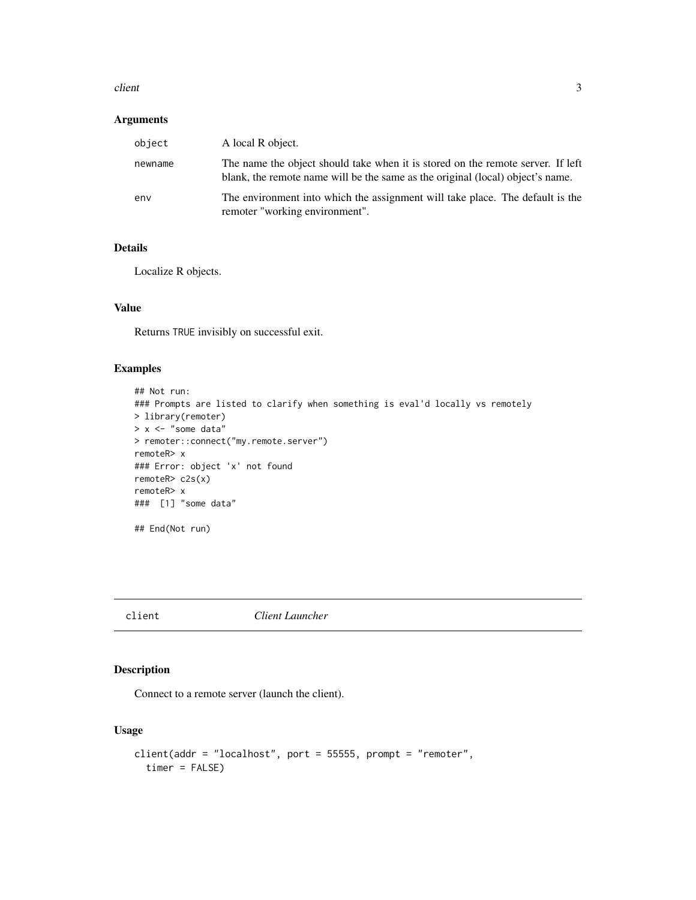#### <span id="page-2-0"></span>client 3

#### Arguments

| object  | A local R object.                                                                                                                                                 |
|---------|-------------------------------------------------------------------------------------------------------------------------------------------------------------------|
| newname | The name the object should take when it is stored on the remote server. If left<br>blank, the remote name will be the same as the original (local) object's name. |
| env     | The environment into which the assignment will take place. The default is the<br>remoter "working environment".                                                   |

#### Details

Localize R objects.

#### Value

Returns TRUE invisibly on successful exit.

#### Examples

```
## Not run:
### Prompts are listed to clarify when something is eval'd locally vs remotely
> library(remoter)
> x <- "some data"
> remoter::connect("my.remote.server")
remoteR> x
### Error: object 'x' not found
remoteR> c2s(x)
remoteR> x
### [1] "some data"
## End(Not run)
```
client *Client Launcher*

#### Description

Connect to a remote server (launch the client).

#### Usage

```
client(addr = "localhost", port = 55555, prompt = "remoter",
  timer = FALSE)
```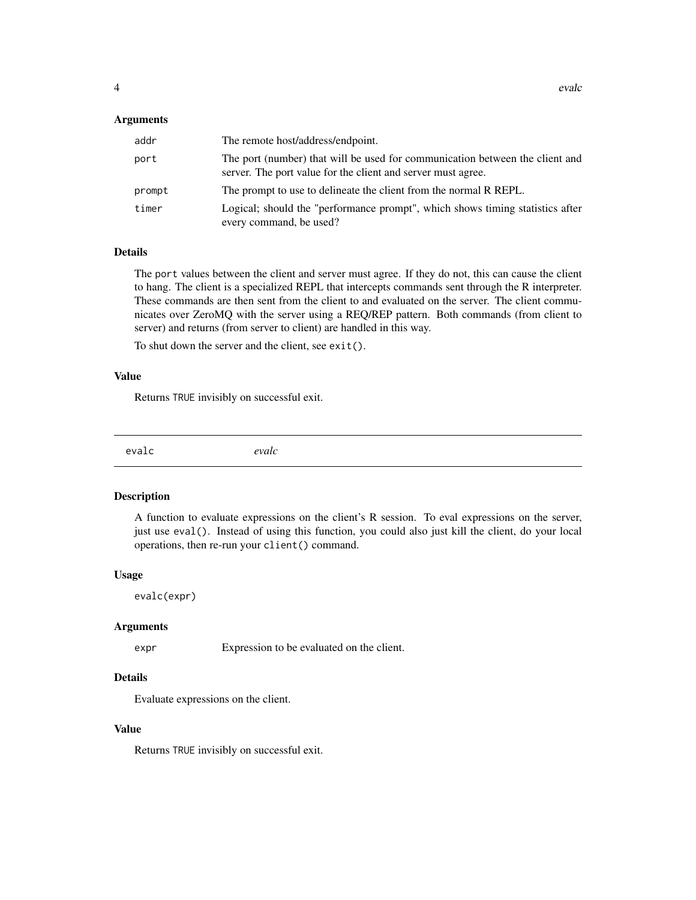#### <span id="page-3-0"></span>**Arguments**

| addr   | The remote host/address/endpoint.                                                                                                            |
|--------|----------------------------------------------------------------------------------------------------------------------------------------------|
| port   | The port (number) that will be used for communication between the client and<br>server. The port value for the client and server must agree. |
| prompt | The prompt to use to delineate the client from the normal R REPL.                                                                            |
| timer  | Logical; should the "performance prompt", which shows timing statistics after<br>every command, be used?                                     |

#### Details

The port values between the client and server must agree. If they do not, this can cause the client to hang. The client is a specialized REPL that intercepts commands sent through the R interpreter. These commands are then sent from the client to and evaluated on the server. The client communicates over ZeroMQ with the server using a REQ/REP pattern. Both commands (from client to server) and returns (from server to client) are handled in this way.

To shut down the server and the client, see exit().

#### Value

Returns TRUE invisibly on successful exit.

evalc *evalc*

#### Description

A function to evaluate expressions on the client's R session. To eval expressions on the server, just use eval(). Instead of using this function, you could also just kill the client, do your local operations, then re-run your client() command.

#### Usage

evalc(expr)

#### Arguments

expr Expression to be evaluated on the client.

#### Details

Evaluate expressions on the client.

#### Value

Returns TRUE invisibly on successful exit.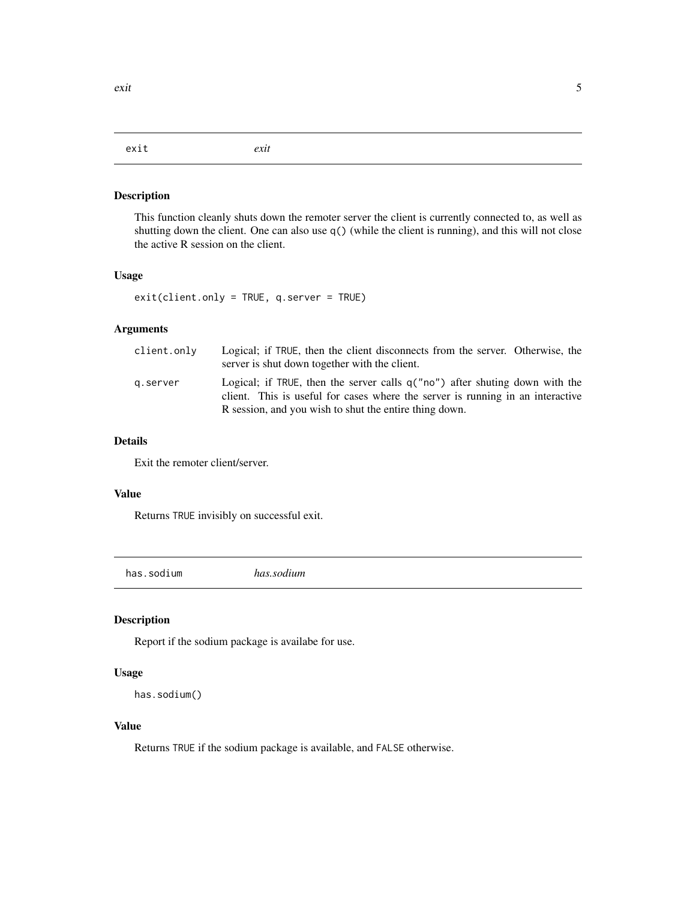#### <span id="page-4-0"></span>exit *exit*

#### Description

This function cleanly shuts down the remoter server the client is currently connected to, as well as shutting down the client. One can also use q() (while the client is running), and this will not close the active R session on the client.

#### Usage

exit(client.only = TRUE, q.server = TRUE)

#### Arguments

| client.only | Logical; if TRUE, then the client disconnects from the server. Otherwise, the<br>server is shut down together with the client.                                                                                            |
|-------------|---------------------------------------------------------------------------------------------------------------------------------------------------------------------------------------------------------------------------|
| g.server    | Logical; if TRUE, then the server calls $q("no")$ after shuting down with the<br>client. This is useful for cases where the server is running in an interactive<br>R session, and you wish to shut the entire thing down. |

#### Details

Exit the remoter client/server.

#### Value

Returns TRUE invisibly on successful exit.

has.sodium *has.sodium*

#### Description

Report if the sodium package is availabe for use.

#### Usage

```
has.sodium()
```
#### Value

Returns TRUE if the sodium package is available, and FALSE otherwise.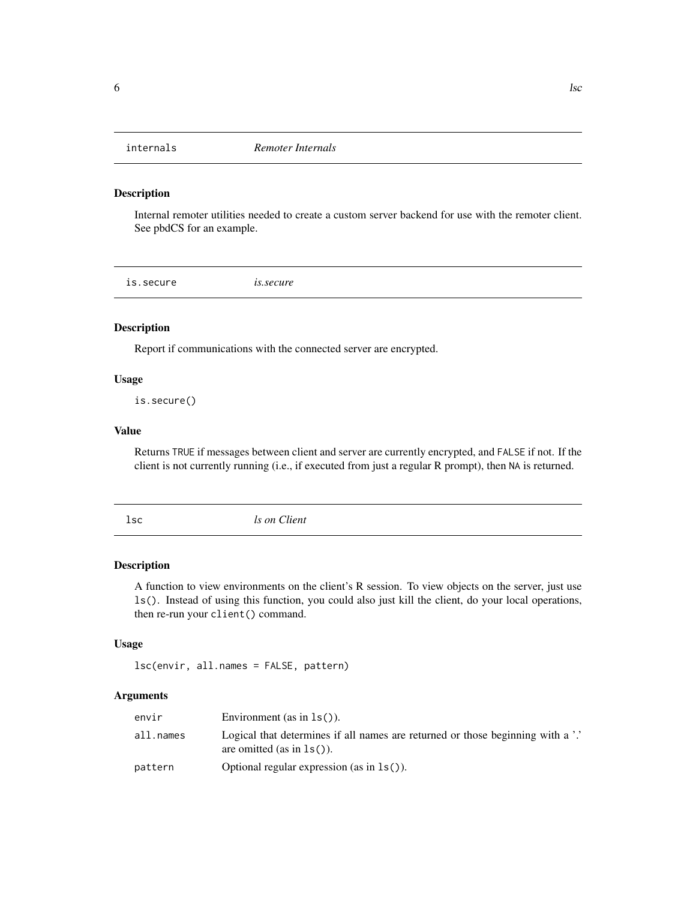<span id="page-5-0"></span>

#### Description

Internal remoter utilities needed to create a custom server backend for use with the remoter client. See pbdCS for an example.

is.secure *is.secure*

#### Description

Report if communications with the connected server are encrypted.

#### Usage

is.secure()

#### Value

Returns TRUE if messages between client and server are currently encrypted, and FALSE if not. If the client is not currently running (i.e., if executed from just a regular R prompt), then NA is returned.

lsc *ls on Client*

#### Description

A function to view environments on the client's R session. To view objects on the server, just use ls(). Instead of using this function, you could also just kill the client, do your local operations, then re-run your client() command.

#### Usage

lsc(envir, all.names = FALSE, pattern)

#### Arguments

| envir     | Environment (as in $ls()$ ).                                                                                    |
|-----------|-----------------------------------------------------------------------------------------------------------------|
| all.names | Logical that determines if all names are returned or those beginning with a '.'<br>are omitted (as in $ls()$ ). |
| pattern   | Optional regular expression (as in $ls()$ ).                                                                    |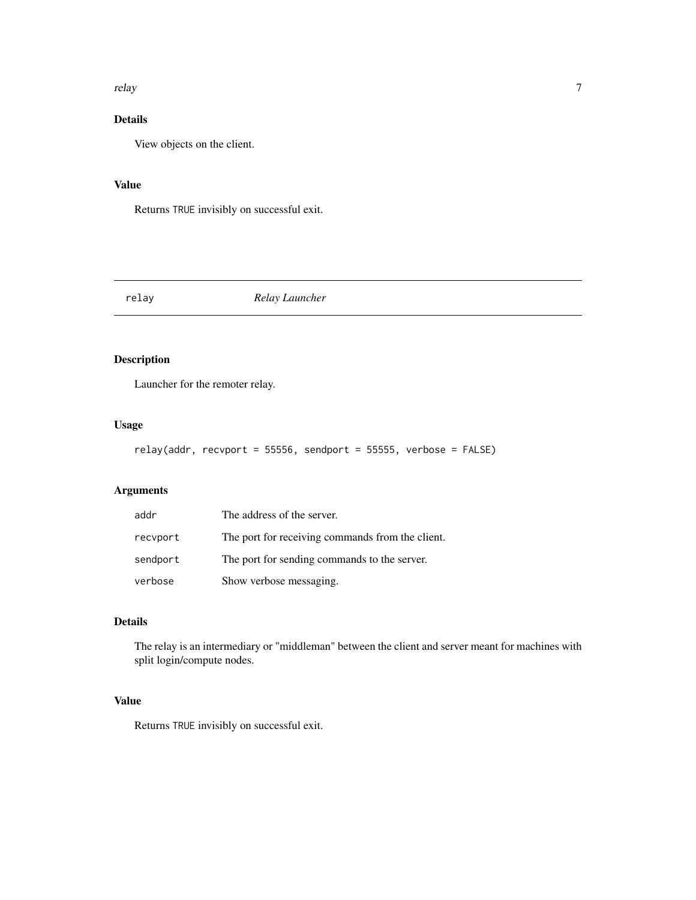<span id="page-6-0"></span>relay and the contract of the contract of the contract of the contract of the contract of the contract of the contract of the contract of the contract of the contract of the contract of the contract of the contract of the

#### Details

View objects on the client.

#### Value

Returns TRUE invisibly on successful exit.

relay *Relay Launcher*

#### Description

Launcher for the remoter relay.

#### Usage

```
relay(addr, recvport = 55556, sendport = 55555, verbose = FALSE)
```
#### Arguments

| addr     | The address of the server.                       |
|----------|--------------------------------------------------|
| recyport | The port for receiving commands from the client. |
| sendport | The port for sending commands to the server.     |
| verbose  | Show verbose messaging.                          |

#### Details

The relay is an intermediary or "middleman" between the client and server meant for machines with split login/compute nodes.

#### Value

Returns TRUE invisibly on successful exit.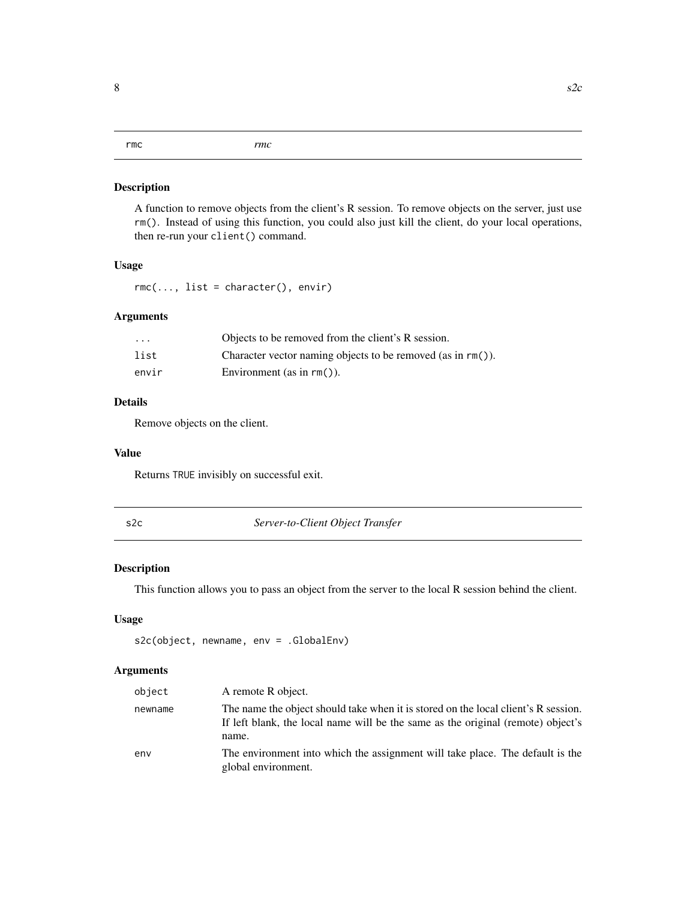#### <span id="page-7-0"></span>Description

A function to remove objects from the client's R session. To remove objects on the server, just use rm(). Instead of using this function, you could also just kill the client, do your local operations, then re-run your client() command.

#### Usage

rmc(..., list = character(), envir)

#### Arguments

| $\cdot$ | Objects to be removed from the client's R session.          |
|---------|-------------------------------------------------------------|
| list    | Character vector naming objects to be removed (as in rm()). |
| envir   | Environment (as in $rm()$ ).                                |

#### Details

Remove objects on the client.

#### Value

Returns TRUE invisibly on successful exit.

s2c *Server-to-Client Object Transfer*

#### Description

This function allows you to pass an object from the server to the local R session behind the client.

#### Usage

```
s2c(object, newname, env = .GlobalEnv)
```
#### Arguments

| object  | A remote R object.                                                                                                                                                              |
|---------|---------------------------------------------------------------------------------------------------------------------------------------------------------------------------------|
| newname | The name the object should take when it is stored on the local client's R session.<br>If left blank, the local name will be the same as the original (remote) object's<br>name. |
| env     | The environment into which the assignment will take place. The default is the<br>global environment.                                                                            |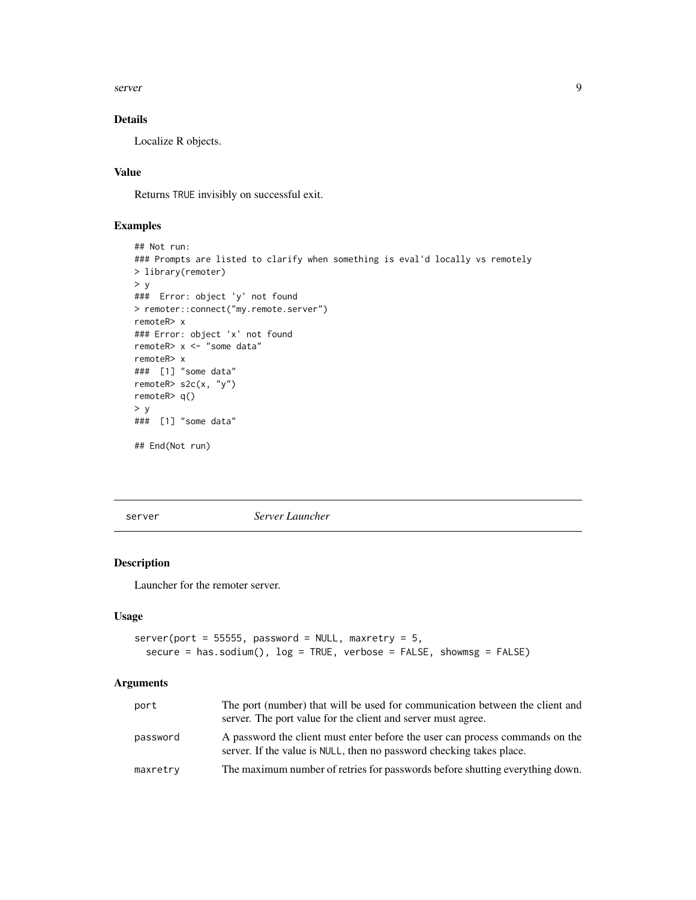<span id="page-8-0"></span>server the contract of the contract of the contract of the contract of the contract of the contract of the contract of the contract of the contract of the contract of the contract of the contract of the contract of the con

#### Details

Localize R objects.

#### Value

Returns TRUE invisibly on successful exit.

#### Examples

```
## Not run:
### Prompts are listed to clarify when something is eval'd locally vs remotely
> library(remoter)
> y### Error: object 'y' not found
> remoter::connect("my.remote.server")
remoteR> x
### Error: object 'x' not found
remoteR> x <- "some data"
remoteR> x
### [1] "some data"
remoteR> s2c(x, "y")
remoteR> q()
> v### [1] "some data"
## End(Not run)
```
server *Server Launcher*

#### Description

Launcher for the remoter server.

#### Usage

```
server(port = 55555, password = NULL, maxretry = 5,secure = has.sodium(), log = TRUE, verbose = FALSE, showmsg = FALSE)
```
#### Arguments

| port     | The port (number) that will be used for communication between the client and<br>server. The port value for the client and server must agree.         |
|----------|------------------------------------------------------------------------------------------------------------------------------------------------------|
| password | A password the client must enter before the user can process commands on the<br>server. If the value is NULL, then no password checking takes place. |
| maxretry | The maximum number of retries for passwords before shutting everything down.                                                                         |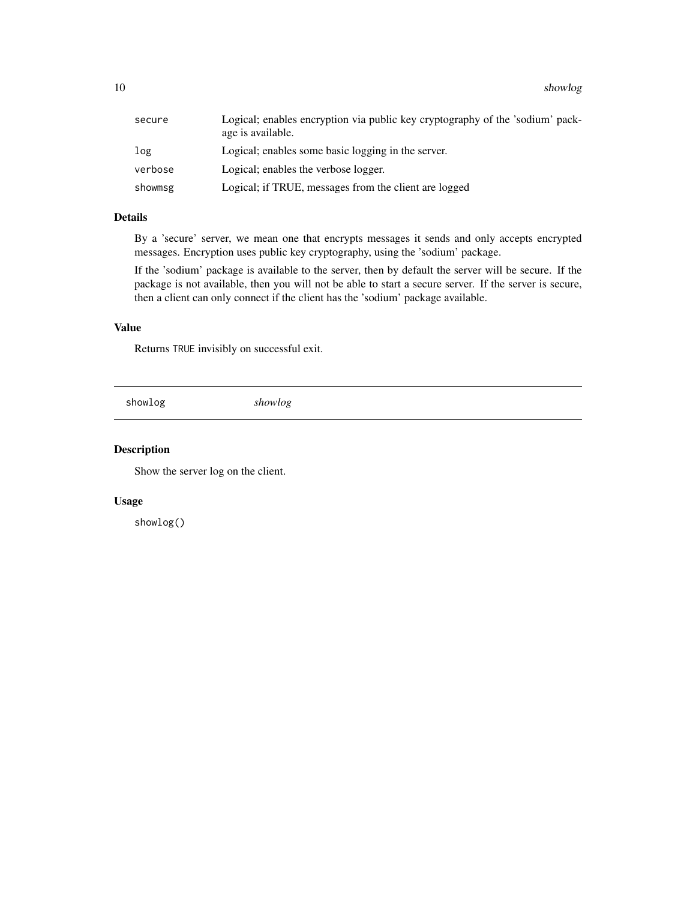<span id="page-9-0"></span>

| secure  | Logical; enables encryption via public key cryptography of the 'sodium' pack-<br>age is available. |
|---------|----------------------------------------------------------------------------------------------------|
| log     | Logical; enables some basic logging in the server.                                                 |
| verbose | Logical; enables the verbose logger.                                                               |
| showmsg | Logical; if TRUE, messages from the client are logged                                              |

#### Details

By a 'secure' server, we mean one that encrypts messages it sends and only accepts encrypted messages. Encryption uses public key cryptography, using the 'sodium' package.

If the 'sodium' package is available to the server, then by default the server will be secure. If the package is not available, then you will not be able to start a secure server. If the server is secure, then a client can only connect if the client has the 'sodium' package available.

#### Value

Returns TRUE invisibly on successful exit.

showlog *showlog*

#### Description

Show the server log on the client.

#### Usage

showlog()